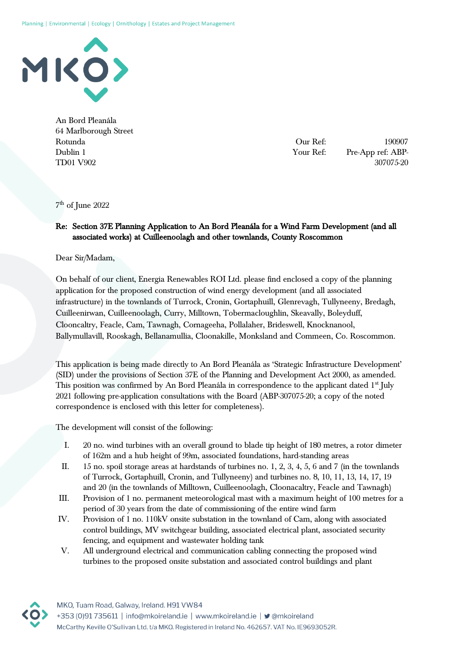

An Bord Pleanála 64 Marlborough Street Rotunda Dublin 1 TD01 V902

Our Ref: 190907 Your Ref: Pre-App ref: ABP-307075-20

7 th of June 2022

## Re: Section 37E Planning Application to An Bord Pleanála for a Wind Farm Development (and all associated works) at Cuilleenoolagh and other townlands, County Roscommon

Dear Sir/Madam,

On behalf of our client, Energia Renewables ROI Ltd. please find enclosed a copy of the planning application for the proposed construction of wind energy development (and all associated infrastructure) in the townlands of Turrock, Cronin, Gortaphuill, Glenrevagh, Tullyneeny, Bredagh, Cuilleenirwan, Cuilleenoolagh, Curry, Milltown, Tobermacloughlin, Skeavally, Boleyduff, Clooncaltry, Feacle, Cam, Tawnagh, Cornageeha, Pollalaher, Brideswell, Knocknanool, Ballymullavill, Rooskagh, Bellanamullia, Cloonakille, Monksland and Commeen, Co. Roscommon.

This application is being made directly to An Bord Pleanála as 'Strategic Infrastructure Development' (SID) under the provisions of Section 37E of the Planning and Development Act 2000, as amended. This position was confirmed by An Bord Pleanála in correspondence to the applicant dated 1<sup>st</sup> July 2021 following pre-application consultations with the Board (ABP-307075-20; a copy of the noted correspondence is enclosed with this letter for completeness).

The development will consist of the following:

- I. 20 no. wind turbines with an overall ground to blade tip height of 180 metres, a rotor dimeter of 162m and a hub height of 99m, associated foundations, hard-standing areas
- II. 15 no. spoil storage areas at hardstands of turbines no. 1, 2, 3, 4, 5, 6 and 7 (in the townlands of Turrock, Gortaphuill, Cronin, and Tullyneeny) and turbines no. 8, 10, 11, 13, 14, 17, 19 and 20 (in the townlands of Milltown, Cuilleenoolagh, Cloonacaltry, Feacle and Tawnagh)
- III. Provision of 1 no. permanent meteorological mast with a maximum height of 100 metres for a period of 30 years from the date of commissioning of the entire wind farm
- IV. Provision of 1 no. 110kV onsite substation in the townland of Cam, along with associated control buildings, MV switchgear building, associated electrical plant, associated security fencing, and equipment and wastewater holding tank
- V. All underground electrical and communication cabling connecting the proposed wind turbines to the proposed onsite substation and associated control buildings and plant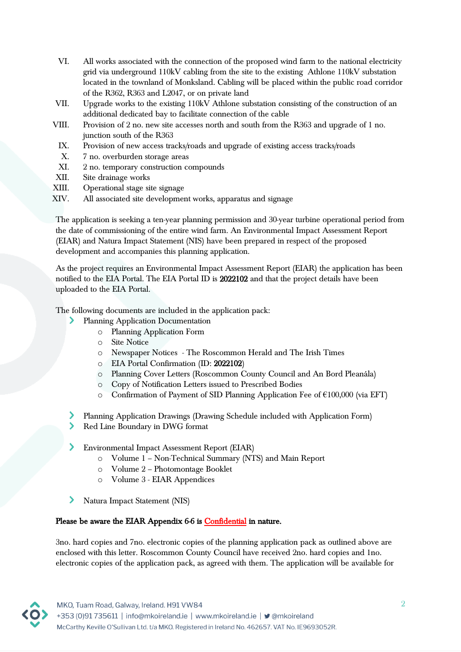- VI. All works associated with the connection of the proposed wind farm to the national electricity grid via underground 110kV cabling from the site to the existing Athlone 110kV substation located in the townland of Monksland. Cabling will be placed within the public road corridor of the R362, R363 and L2047, or on private land
- VII. Upgrade works to the existing 110kV Athlone substation consisting of the construction of an additional dedicated bay to facilitate connection of the cable
- VIII. Provision of 2 no. new site accesses north and south from the R363 and upgrade of 1 no. junction south of the R363
	- IX. Provision of new access tracks/roads and upgrade of existing access tracks/roads
	- X. 7 no. overburden storage areas
	- XI. 2 no. temporary construction compounds
- XII. Site drainage works
- XIII. Operational stage site signage
- XIV. All associated site development works, apparatus and signage

The application is seeking a ten-year planning permission and 30-year turbine operational period from the date of commissioning of the entire wind farm. An Environmental Impact Assessment Report (EIAR) and Natura Impact Statement (NIS) have been prepared in respect of the proposed development and accompanies this planning application.

As the project requires an Environmental Impact Assessment Report (EIAR) the application has been notified to the EIA Portal. The EIA Portal ID is 2022102 and that the project details have been uploaded to the EIA Portal.

The following documents are included in the application pack:

- Planning Application Documentation
	- o Planning Application Form
	- o Site Notice
	- o Newspaper Notices The Roscommon Herald and The Irish Times
	- o EIA Portal Confirmation (ID: 2022102)
	- o Planning Cover Letters (Roscommon County Council and An Bord Pleanála)
	- o Copy of Notification Letters issued to Prescribed Bodies
	- o Confirmation of Payment of SID Planning Application Fee of €100,000 (via EFT)
- Planning Application Drawings (Drawing Schedule included with Application Form)
- ≻ Red Line Boundary in DWG format
- Environmental Impact Assessment Report (EIAR)
	- o Volume 1 Non-Technical Summary (NTS) and Main Report
	- o Volume 2 Photomontage Booklet
	- o Volume 3 EIAR Appendices
- ≻ Natura Impact Statement (NIS)

## Please be aware the EIAR Appendix 6-6 is Confidential in nature.

3no. hard copies and 7no. electronic copies of the planning application pack as outlined above are enclosed with this letter. Roscommon County Council have received 2no. hard copies and 1no. electronic copies of the application pack, as agreed with them. The application will be available for